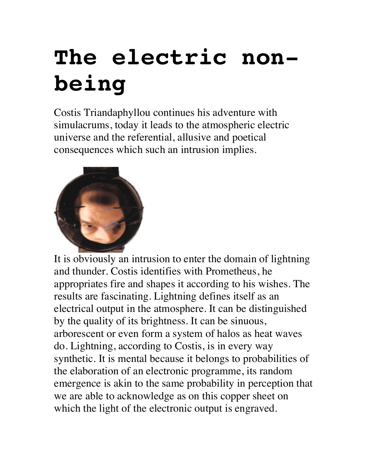## **The electric nonbeing**

Costis Triandaphyllou continues his adventure with simulacrums, today it leads to the atmospheric electric universe and the referential, allusive and poetical consequences which such an intrusion implies.



It is obviously an intrusion to enter the domain of lightning and thunder. Costis identifies with Prometheus, he appropriates fire and shapes it according to his wishes. The results are fascinating. Lightning defines itself as an electrical output in the atmosphere. It can be distinguished by the quality of its brightness. It can be sinuous, arborescent or even form a system of halos as heat waves do. Lightning, according to Costis, is in every way synthetic. It is mental because it belongs to probabilities of the elaboration of an electronic programme, its random emergence is akin to the same probability in perception that we are able to acknowledge as on this copper sheet on which the light of the electronic output is engraved.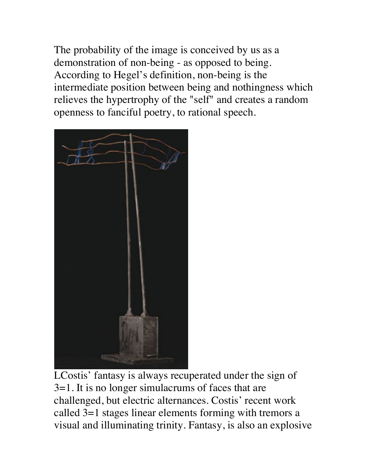The probability of the image is conceived by us as a demonstration of non-being - as opposed to being. According to Hegel's definition, non-being is the intermediate position between being and nothingness which relieves the hypertrophy of the "self" and creates a random openness to fanciful poetry, to rational speech.



LCostis' fantasy is always recuperated under the sign of 3=1. It is no longer simulacrums of faces that are challenged, but electric alternances. Costis' recent work called 3=1 stages linear elements forming with tremors a visual and illuminating trinity. Fantasy, is also an explosive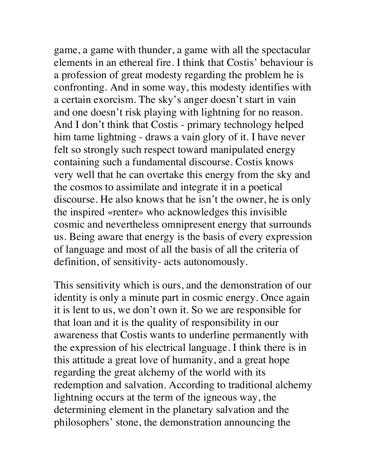game, a game with thunder, a game with all the spectacular elements in an ethereal fire. I think that Costis' behaviour is a profession of great modesty regarding the problem he is confronting. And in some way, this modesty identifies with a certain exorcism. The sky's anger doesn't start in vain and one doesn't risk playing with lightning for no reason. And I don't think that Costis - primary technology helped him tame lightning - draws a vain glory of it. I have never felt so strongly such respect toward manipulated energy containing such a fundamental discourse. Costis knows very well that he can overtake this energy from the sky and the cosmos to assimilate and integrate it in a poetical discourse. He also knows that he isn't the owner, he is only the inspired «renter» who acknowledges this invisible cosmic and nevertheless omnipresent energy that surrounds us. Being aware that energy is the basis of every expression of language and most of all the basis of all the criteria of definition, of sensitivity- acts autonomously.

This sensitivity which is ours, and the demonstration of our identity is only a minute part in cosmic energy. Once again it is lent to us, we don't own it. So we are responsible for that loan and it is the quality of responsibility in our awareness that Costis wants to underline permanently with the expression of his electrical language. I think there is in this attitude a great love of humanity, and a great hope regarding the great alchemy of the world with its redemption and salvation. According to traditional alchemy lightning occurs at the term of the igneous way, the determining element in the planetary salvation and the philosophers' stone, the demonstration announcing the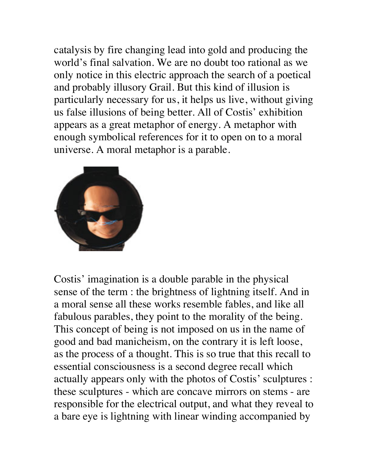catalysis by fire changing lead into gold and producing the world's final salvation. We are no doubt too rational as we only notice in this electric approach the search of a poetical and probably illusory Grail. But this kind of illusion is particularly necessary for us, it helps us live, without giving us false illusions of being better. All of Costis' exhibition appears as a great metaphor of energy. A metaphor with enough symbolical references for it to open on to a moral universe. A moral metaphor is a parable.



Costis' imagination is a double parable in the physical sense of the term : the brightness of lightning itself. And in a moral sense all these works resemble fables, and like all fabulous parables, they point to the morality of the being. This concept of being is not imposed on us in the name of good and bad manicheism, on the contrary it is left loose, as the process of a thought. This is so true that this recall to essential consciousness is a second degree recall which actually appears only with the photos of Costis' sculptures : these sculptures - which are concave mirrors on stems - are responsible for the electrical output, and what they reveal to a bare eye is lightning with linear winding accompanied by